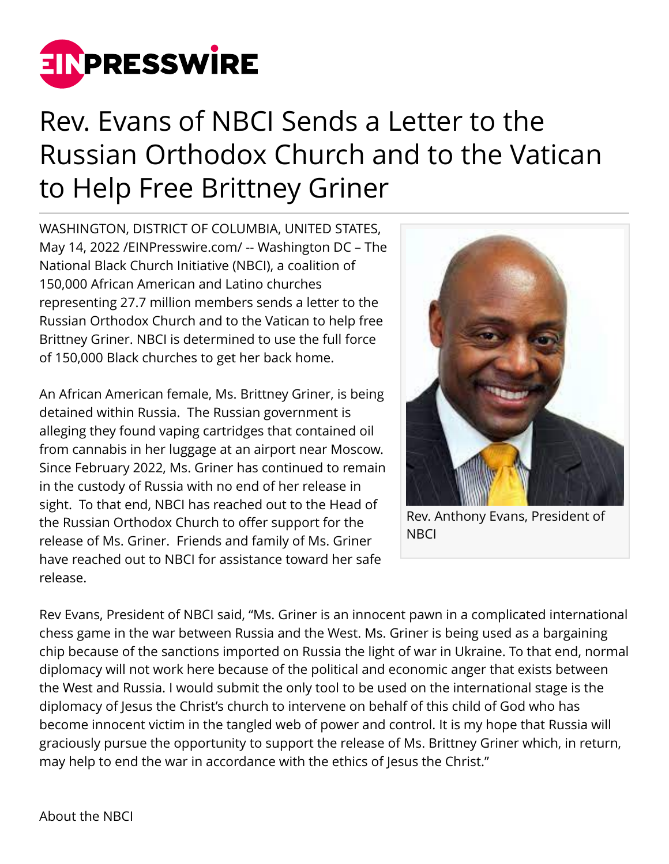

## Rev. Evans of NBCI Sends a Letter to the Russian Orthodox Church and to the Vatican to Help Free Brittney Griner

WASHINGTON, DISTRICT OF COLUMBIA, UNITED STATES, May 14, 2022 [/EINPresswire.com](http://www.einpresswire.com)/ -- Washington DC – The National Black Church Initiative (NBCI), a coalition of 150,000 African American and Latino churches representing 27.7 million members sends a letter to the Russian Orthodox Church and to the Vatican to help free Brittney Griner. NBCI is determined to use the full force of 150,000 Black churches to get her back home.

An African American female, Ms. Brittney Griner, is being detained within Russia. The Russian government is alleging they found vaping cartridges that contained oil from cannabis in her luggage at an airport near Moscow. Since February 2022, Ms. Griner has continued to remain in the custody of Russia with no end of her release in sight. To that end, NBCI has reached out to the Head of the Russian Orthodox Church to offer support for the release of Ms. Griner. Friends and family of Ms. Griner have reached out to NBCI for assistance toward her safe release.



Rev. Anthony Evans, President of **NBCI** 

Rev Evans, President of NBCI said, "Ms. Griner is an innocent pawn in a complicated international chess game in the war between Russia and the West. Ms. Griner is being used as a bargaining chip because of the sanctions imported on Russia the light of war in Ukraine. To that end, normal diplomacy will not work here because of the political and economic anger that exists between the West and Russia. I would submit the only tool to be used on the international stage is the diplomacy of Jesus the Christ's church to intervene on behalf of this child of God who has become innocent victim in the tangled web of power and control. It is my hope that Russia will graciously pursue the opportunity to support the release of Ms. Brittney Griner which, in return, may help to end the war in accordance with the ethics of Jesus the Christ."